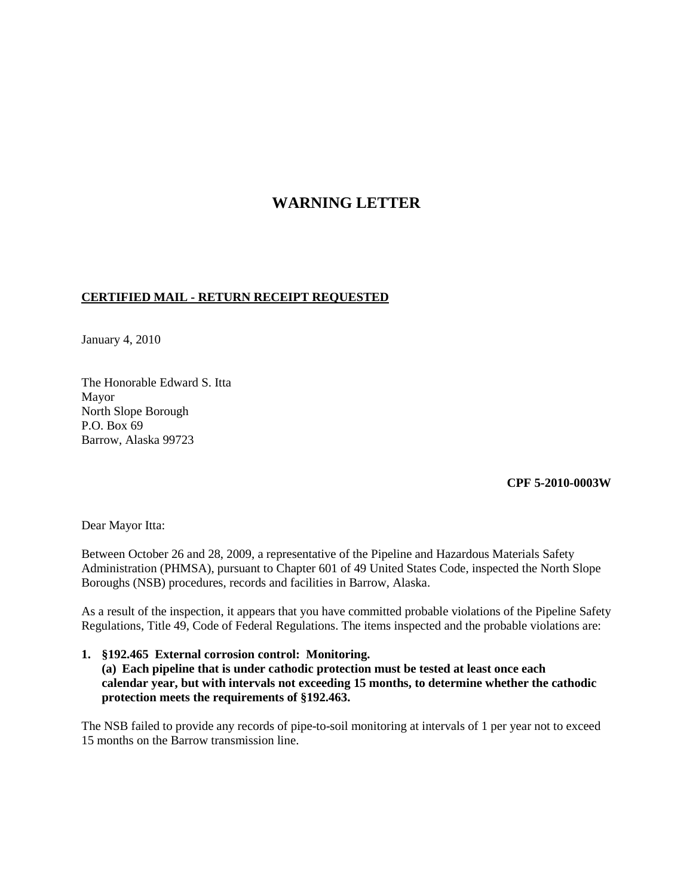# **WARNING LETTER**

# **CERTIFIED MAIL - RETURN RECEIPT REQUESTED**

January 4, 2010

The Honorable Edward S. Itta Mayor North Slope Borough P.O. Box 69 Barrow, Alaska 99723

#### **CPF 5-2010-0003W**

Dear Mayor Itta:

Between October 26 and 28, 2009, a representative of the Pipeline and Hazardous Materials Safety Administration (PHMSA), pursuant to Chapter 601 of 49 United States Code, inspected the North Slope Boroughs (NSB) procedures, records and facilities in Barrow, Alaska.

As a result of the inspection, it appears that you have committed probable violations of the Pipeline Safety Regulations, Title 49, Code of Federal Regulations. The items inspected and the probable violations are:

#### **1. §192.465 External corrosion control: Monitoring. (a) Each pipeline that is under cathodic protection must be tested at least once each calendar year, but with intervals not exceeding 15 months, to determine whether the cathodic protection meets the requirements of §192.463.**

The NSB failed to provide any records of pipe-to-soil monitoring at intervals of 1 per year not to exceed 15 months on the Barrow transmission line.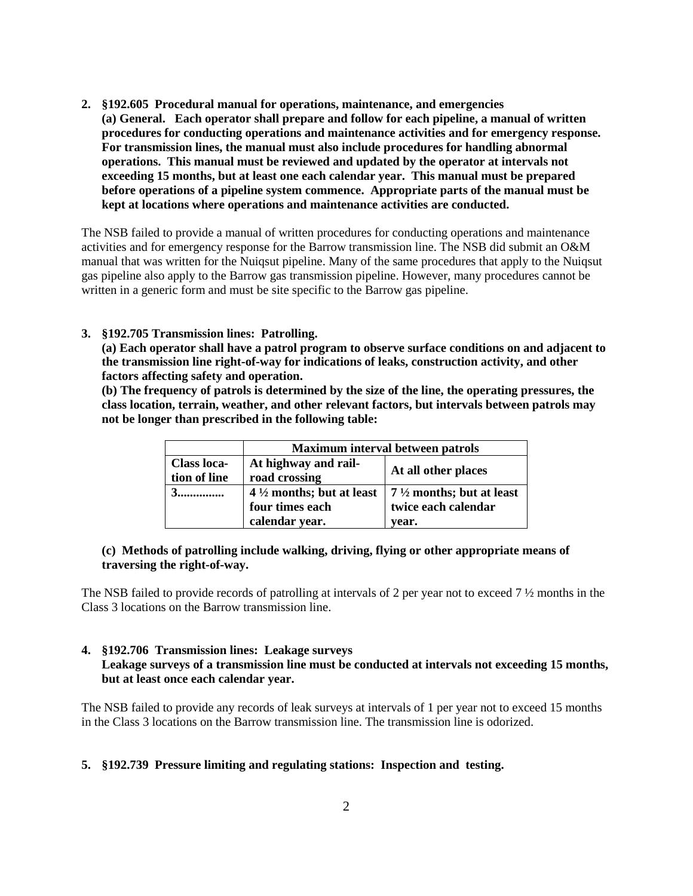- **2. §192.605 Procedural manual for operations, maintenance, and emergencies**
	- **(a) General. Each operator shall prepare and follow for each pipeline, a manual of written procedures for conducting operations and maintenance activities and for emergency response. For transmission lines, the manual must also include procedures for handling abnormal operations. This manual must be reviewed and updated by the operator at intervals not exceeding 15 months, but at least one each calendar year. This manual must be prepared before operations of a pipeline system commence. Appropriate parts of the manual must be kept at locations where operations and maintenance activities are conducted.**

The NSB failed to provide a manual of written procedures for conducting operations and maintenance activities and for emergency response for the Barrow transmission line. The NSB did submit an O&M manual that was written for the Nuiqsut pipeline. Many of the same procedures that apply to the Nuiqsut gas pipeline also apply to the Barrow gas transmission pipeline. However, many procedures cannot be written in a generic form and must be site specific to the Barrow gas pipeline.

# **3. §192.705 Transmission lines: Patrolling.**

**(a) Each operator shall have a patrol program to observe surface conditions on and adjacent to the transmission line right-of-way for indications of leaks, construction activity, and other factors affecting safety and operation.**

**(b) The frequency of patrols is determined by the size of the line, the operating pressures, the class location, terrain, weather, and other relevant factors, but intervals between patrols may not be longer than prescribed in the following table:**

|                    | Maximum interval between patrols    |                                     |
|--------------------|-------------------------------------|-------------------------------------|
| <b>Class loca-</b> | At highway and rail-                | At all other places                 |
| tion of line       | road crossing                       |                                     |
|                    | $4\frac{1}{2}$ months; but at least | $7\frac{1}{2}$ months; but at least |
|                    | four times each                     | twice each calendar                 |
|                    | calendar year.                      | vear.                               |

# **(c) Methods of patrolling include walking, driving, flying or other appropriate means of traversing the right-of-way.**

The NSB failed to provide records of patrolling at intervals of 2 per year not to exceed 7 ½ months in the Class 3 locations on the Barrow transmission line.

# **4. §192.706 Transmission lines: Leakage surveys Leakage surveys of a transmission line must be conducted at intervals not exceeding 15 months, but at least once each calendar year.**

The NSB failed to provide any records of leak surveys at intervals of 1 per year not to exceed 15 months in the Class 3 locations on the Barrow transmission line. The transmission line is odorized.

# **5. §192.739 Pressure limiting and regulating stations: Inspection and testing.**